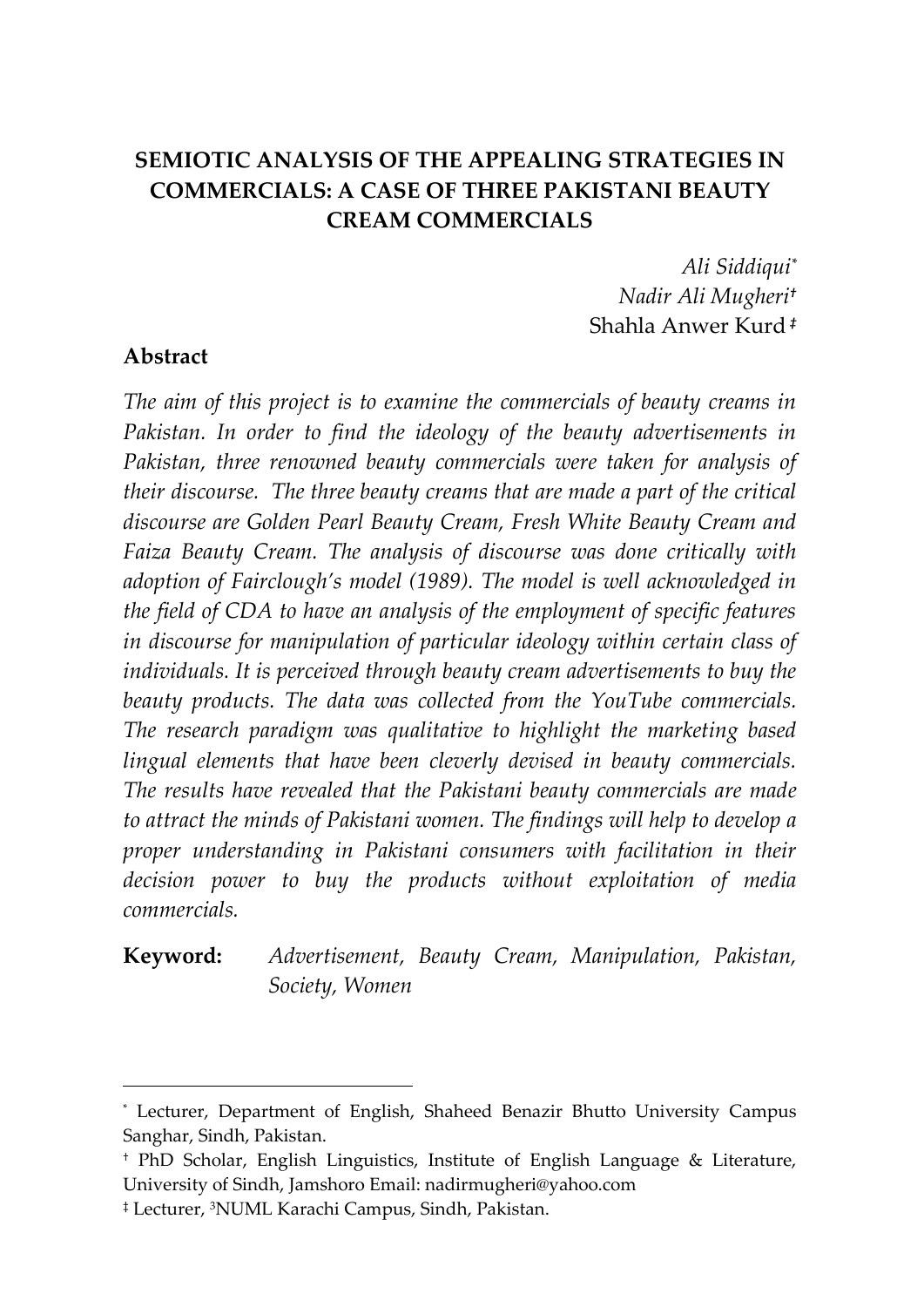## **SEMIOTIC ANALYSIS OF THE APPEALING STRATEGIES IN COMMERCIALS: A CASE OF THREE PAKISTANI BEAUTY CREAM COMMERCIALS**

*Ali Siddiqui\* Nadir Ali Mugheri†* Shahla Anwer Kurd*‡*

#### **Abstract**

 $\overline{a}$ 

*The aim of this project is to examine the commercials of beauty creams in Pakistan. In order to find the ideology of the beauty advertisements in Pakistan, three renowned beauty commercials were taken for analysis of their discourse. The three beauty creams that are made a part of the critical discourse are Golden Pearl Beauty Cream, Fresh White Beauty Cream and Faiza Beauty Cream. The analysis of discourse was done critically with adoption of Fairclough's model (1989). The model is well acknowledged in the field of CDA to have an analysis of the employment of specific features in discourse for manipulation of particular ideology within certain class of individuals. It is perceived through beauty cream advertisements to buy the beauty products. The data was collected from the YouTube commercials. The research paradigm was qualitative to highlight the marketing based lingual elements that have been cleverly devised in beauty commercials. The results have revealed that the Pakistani beauty commercials are made to attract the minds of Pakistani women. The findings will help to develop a proper understanding in Pakistani consumers with facilitation in their decision power to buy the products without exploitation of media commercials.*

**Keyword:** *Advertisement, Beauty Cream, Manipulation, Pakistan, Society, Women*

<sup>\*</sup> Lecturer, Department of English, Shaheed Benazir Bhutto University Campus Sanghar, Sindh, Pakistan.

<sup>†</sup> PhD Scholar, English Linguistics, Institute of English Language & Literature, University of Sindh, Jamshoro Email: nadirmugheri@yahoo.com

<sup>‡</sup> Lecturer, <sup>3</sup>NUML Karachi Campus, Sindh, Pakistan.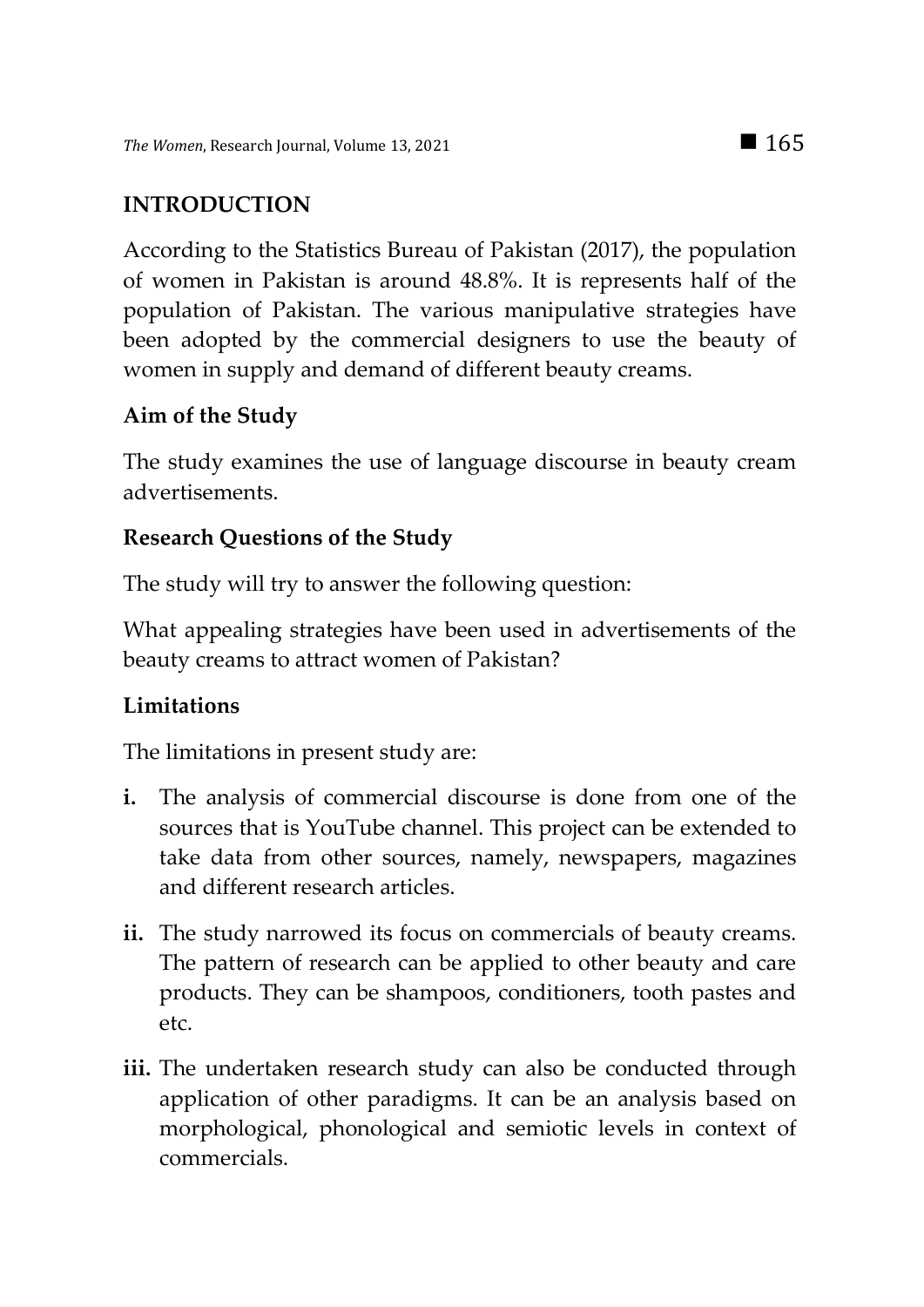#### **INTRODUCTION**

According to the Statistics Bureau of Pakistan (2017), the population of women in Pakistan is around 48.8%. It is represents half of the population of Pakistan. The various manipulative strategies have been adopted by the commercial designers to use the beauty of women in supply and demand of different beauty creams.

## **Aim of the Study**

The study examines the use of language discourse in beauty cream advertisements.

#### **Research Questions of the Study**

The study will try to answer the following question:

What appealing strategies have been used in advertisements of the beauty creams to attract women of Pakistan?

## **Limitations**

The limitations in present study are:

- **i.** The analysis of commercial discourse is done from one of the sources that is YouTube channel. This project can be extended to take data from other sources, namely, newspapers, magazines and different research articles.
- ii. The study narrowed its focus on commercials of beauty creams. The pattern of research can be applied to other beauty and care products. They can be shampoos, conditioners, tooth pastes and etc.
- iii. The undertaken research study can also be conducted through application of other paradigms. It can be an analysis based on morphological, phonological and semiotic levels in context of commercials.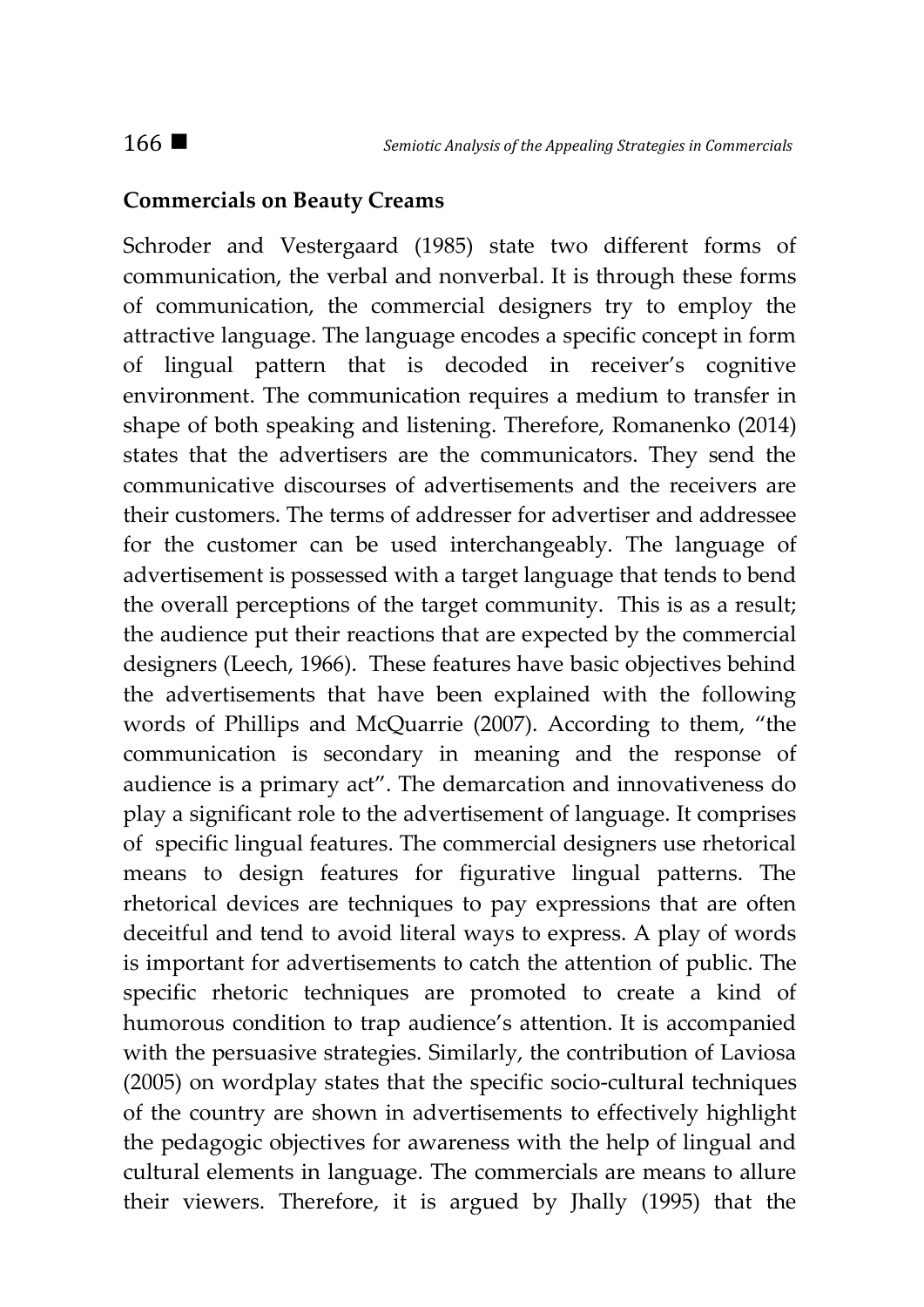#### **Commercials on Beauty Creams**

Schroder and Vestergaard (1985) state two different forms of communication, the verbal and nonverbal. It is through these forms of communication, the commercial designers try to employ the attractive language. The language encodes a specific concept in form of lingual pattern that is decoded in receiver's cognitive environment. The communication requires a medium to transfer in shape of both speaking and listening. Therefore, Romanenko (2014) states that the advertisers are the communicators. They send the communicative discourses of advertisements and the receivers are their customers. The terms of addresser for advertiser and addressee for the customer can be used interchangeably. The language of advertisement is possessed with a target language that tends to bend the overall perceptions of the target community. This is as a result; the audience put their reactions that are expected by the commercial designers (Leech, 1966). These features have basic objectives behind the advertisements that have been explained with the following words of Phillips and McQuarrie (2007). According to them, "the communication is secondary in meaning and the response of audience is a primary act". The demarcation and innovativeness do play a significant role to the advertisement of language. It comprises of specific lingual features. The commercial designers use rhetorical means to design features for figurative lingual patterns. The rhetorical devices are techniques to pay expressions that are often deceitful and tend to avoid literal ways to express. A play of words is important for advertisements to catch the attention of public. The specific rhetoric techniques are promoted to create a kind of humorous condition to trap audience's attention. It is accompanied with the persuasive strategies. Similarly, the contribution of Laviosa (2005) on wordplay states that the specific socio-cultural techniques of the country are shown in advertisements to effectively highlight the pedagogic objectives for awareness with the help of lingual and cultural elements in language. The commercials are means to allure their viewers. Therefore, it is argued by Jhally (1995) that the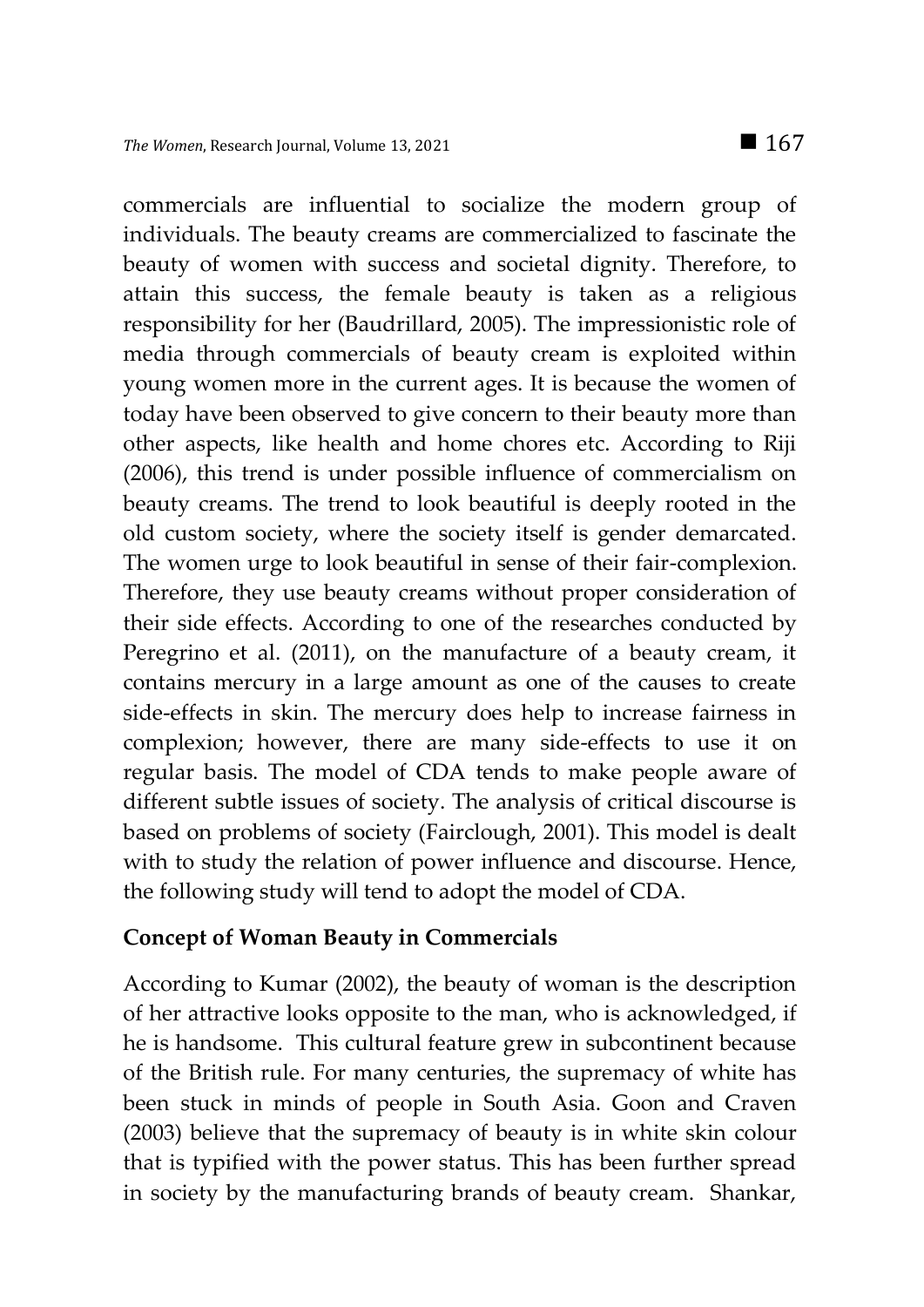commercials are influential to socialize the modern group of individuals. The beauty creams are commercialized to fascinate the

beauty of women with success and societal dignity. Therefore, to attain this success, the female beauty is taken as a religious responsibility for her (Baudrillard, 2005). The impressionistic role of media through commercials of beauty cream is exploited within young women more in the current ages. It is because the women of today have been observed to give concern to their beauty more than other aspects, like health and home chores etc. According to Riji (2006), this trend is under possible influence of commercialism on beauty creams. The trend to look beautiful is deeply rooted in the old custom society, where the society itself is gender demarcated. The women urge to look beautiful in sense of their fair-complexion. Therefore, they use beauty creams without proper consideration of their side effects. According to one of the researches conducted by Peregrino et al. (2011), on the manufacture of a beauty cream, it contains mercury in a large amount as one of the causes to create side-effects in skin. The mercury does help to increase fairness in complexion; however, there are many side-effects to use it on regular basis. The model of CDA tends to make people aware of different subtle issues of society. The analysis of critical discourse is based on problems of society (Fairclough, 2001). This model is dealt with to study the relation of power influence and discourse. Hence, the following study will tend to adopt the model of CDA.

#### **Concept of Woman Beauty in Commercials**

According to Kumar (2002), the beauty of woman is the description of her attractive looks opposite to the man, who is acknowledged, if he is handsome. This cultural feature grew in subcontinent because of the British rule. For many centuries, the supremacy of white has been stuck in minds of people in South Asia. Goon and Craven (2003) believe that the supremacy of beauty is in white skin colour that is typified with the power status. This has been further spread in society by the manufacturing brands of beauty cream. Shankar,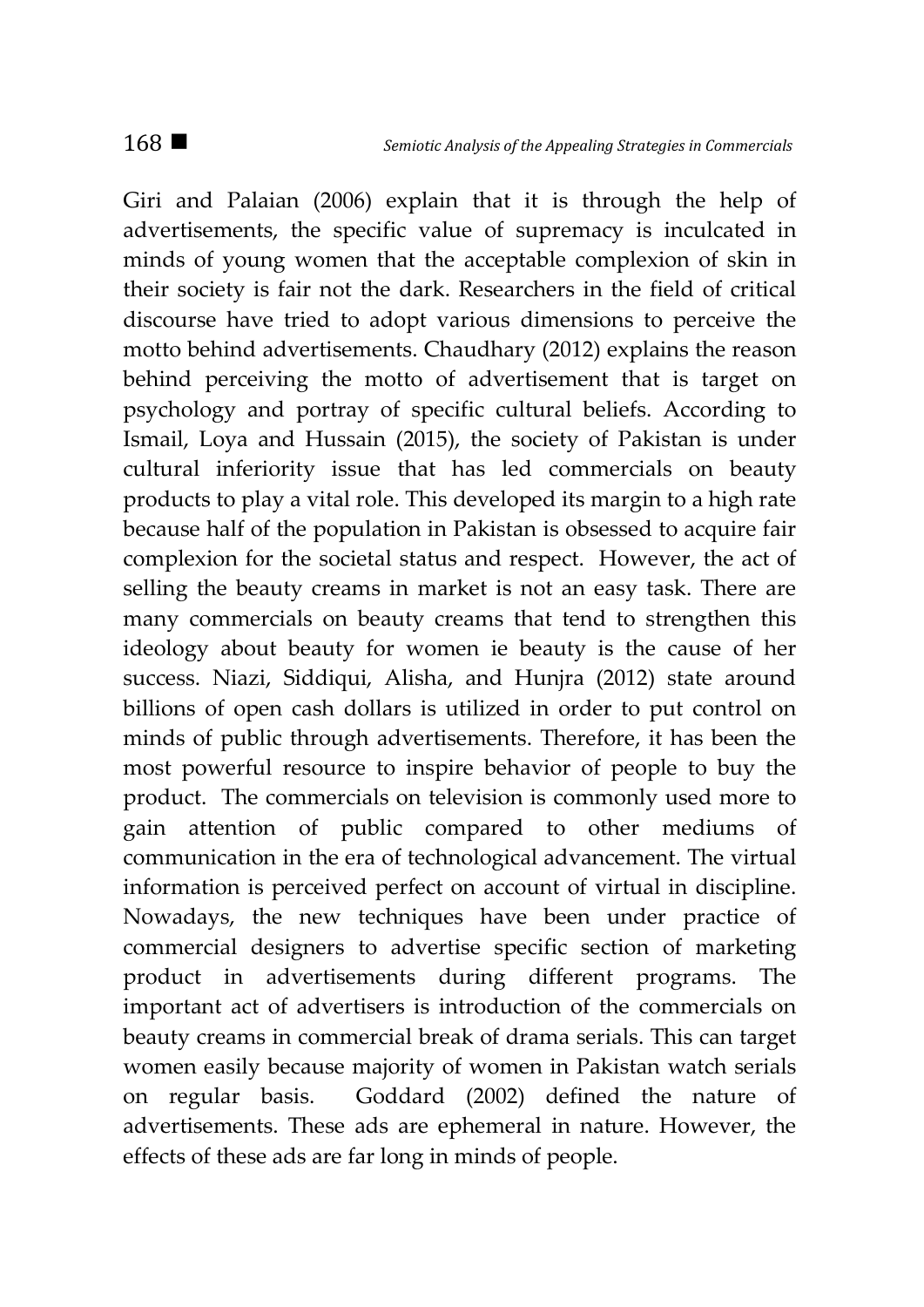Giri and Palaian (2006) explain that it is through the help of advertisements, the specific value of supremacy is inculcated in minds of young women that the acceptable complexion of skin in their society is fair not the dark. Researchers in the field of critical discourse have tried to adopt various dimensions to perceive the motto behind advertisements. Chaudhary (2012) explains the reason behind perceiving the motto of advertisement that is target on psychology and portray of specific cultural beliefs. According to Ismail, Loya and Hussain (2015), the society of Pakistan is under cultural inferiority issue that has led commercials on beauty products to play a vital role. This developed its margin to a high rate because half of the population in Pakistan is obsessed to acquire fair complexion for the societal status and respect. However, the act of selling the beauty creams in market is not an easy task. There are many commercials on beauty creams that tend to strengthen this ideology about beauty for women ie beauty is the cause of her success. Niazi, Siddiqui, Alisha, and Hunjra (2012) state around billions of open cash dollars is utilized in order to put control on minds of public through advertisements. Therefore, it has been the most powerful resource to inspire behavior of people to buy the product. The commercials on television is commonly used more to gain attention of public compared to other mediums of communication in the era of technological advancement. The virtual information is perceived perfect on account of virtual in discipline. Nowadays, the new techniques have been under practice of commercial designers to advertise specific section of marketing product in advertisements during different programs. The important act of advertisers is introduction of the commercials on beauty creams in commercial break of drama serials. This can target women easily because majority of women in Pakistan watch serials on regular basis. Goddard (2002) defined the nature of advertisements. These ads are ephemeral in nature. However, the effects of these ads are far long in minds of people.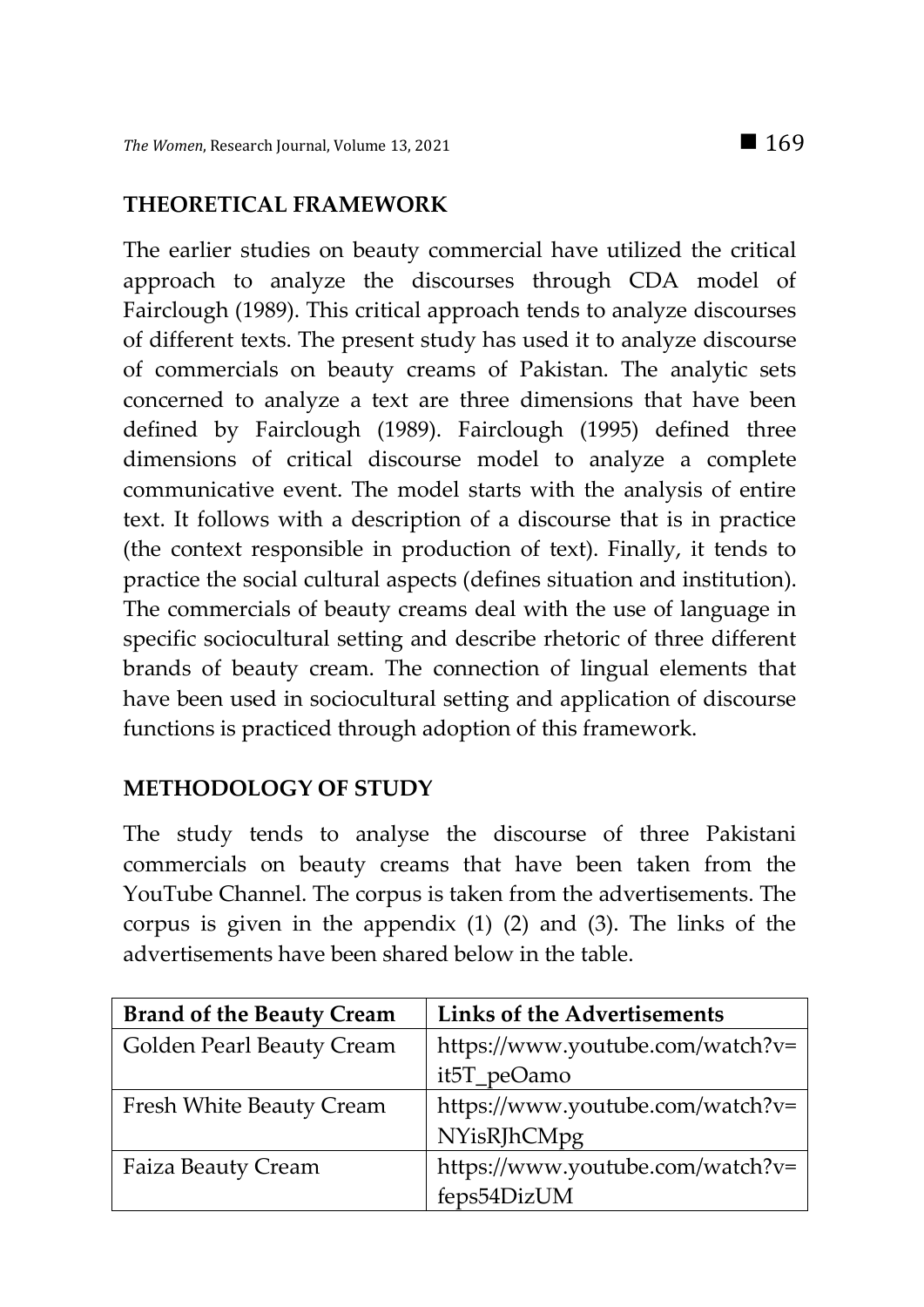#### **THEORETICAL FRAMEWORK**

The earlier studies on beauty commercial have utilized the critical approach to analyze the discourses through CDA model of Fairclough (1989). This critical approach tends to analyze discourses of different texts. The present study has used it to analyze discourse of commercials on beauty creams of Pakistan. The analytic sets concerned to analyze a text are three dimensions that have been defined by Fairclough (1989). Fairclough (1995) defined three dimensions of critical discourse model to analyze a complete communicative event. The model starts with the analysis of entire text. It follows with a description of a discourse that is in practice (the context responsible in production of text). Finally, it tends to practice the social cultural aspects (defines situation and institution). The commercials of beauty creams deal with the use of language in specific sociocultural setting and describe rhetoric of three different brands of beauty cream. The connection of lingual elements that have been used in sociocultural setting and application of discourse functions is practiced through adoption of this framework.

#### **METHODOLOGY OF STUDY**

The study tends to analyse the discourse of three Pakistani commercials on beauty creams that have been taken from the YouTube Channel. The corpus is taken from the advertisements. The corpus is given in the appendix (1) (2) and (3). The links of the advertisements have been shared below in the table.

| <b>Brand of the Beauty Cream</b> | <b>Links of the Advertisements</b> |
|----------------------------------|------------------------------------|
| Golden Pearl Beauty Cream        | https://www.youtube.com/watch?v=   |
|                                  | it5T_peOamo                        |
| Fresh White Beauty Cream         | https://www.youtube.com/watch?v=   |
|                                  | NYisRJhCMpg                        |
| Faiza Beauty Cream               | https://www.youtube.com/watch?v=   |
|                                  | feps54DizUM                        |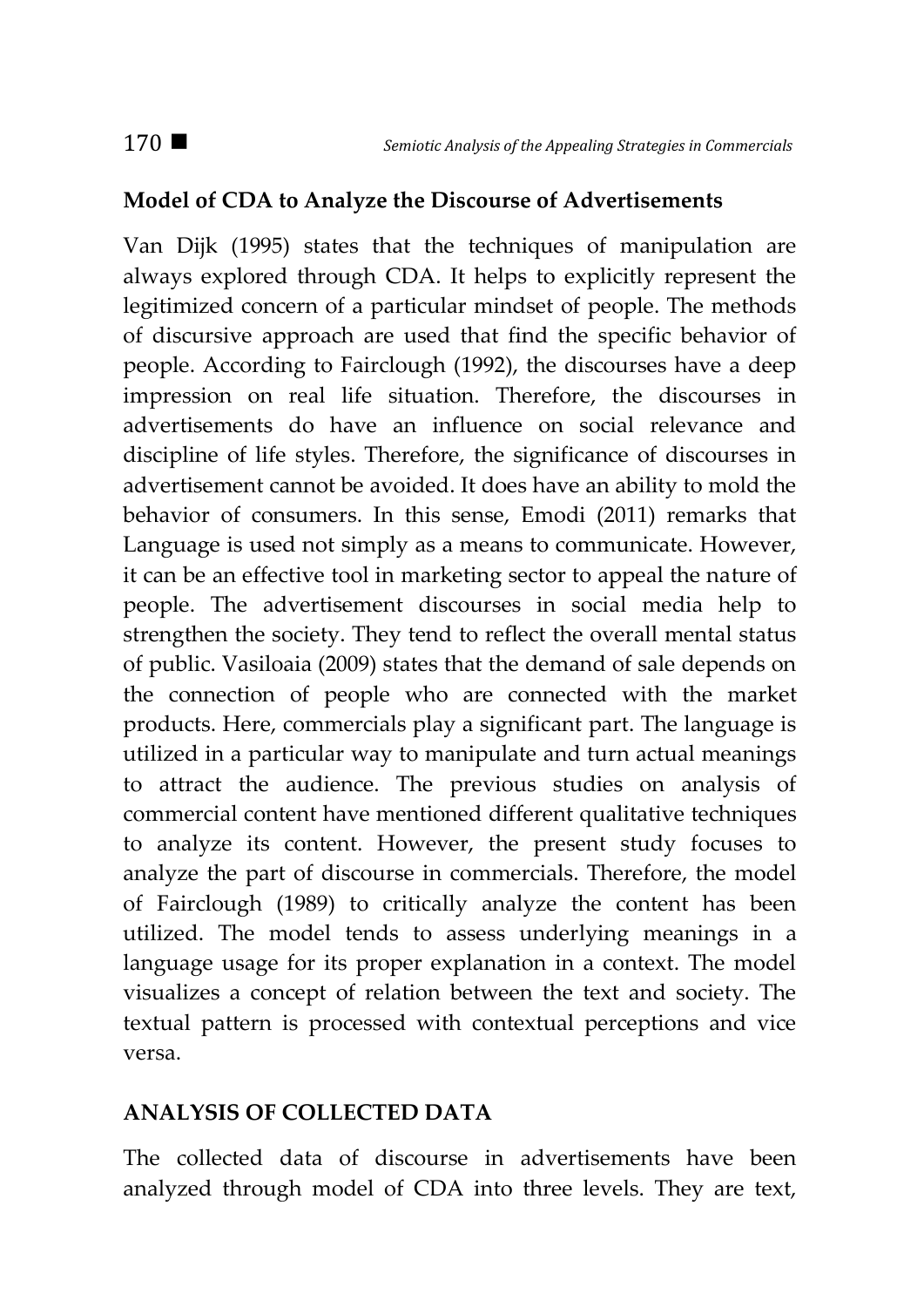#### **Model of CDA to Analyze the Discourse of Advertisements**

Van Dijk (1995) states that the techniques of manipulation are always explored through CDA. It helps to explicitly represent the legitimized concern of a particular mindset of people. The methods of discursive approach are used that find the specific behavior of people. According to Fairclough (1992), the discourses have a deep impression on real life situation. Therefore, the discourses in advertisements do have an influence on social relevance and discipline of life styles. Therefore, the significance of discourses in advertisement cannot be avoided. It does have an ability to mold the behavior of consumers. In this sense, Emodi (2011) remarks that Language is used not simply as a means to communicate. However, it can be an effective tool in marketing sector to appeal the nature of people. The advertisement discourses in social media help to strengthen the society. They tend to reflect the overall mental status of public. Vasiloaia (2009) states that the demand of sale depends on the connection of people who are connected with the market products. Here, commercials play a significant part. The language is utilized in a particular way to manipulate and turn actual meanings to attract the audience. The previous studies on analysis of commercial content have mentioned different qualitative techniques to analyze its content. However, the present study focuses to analyze the part of discourse in commercials. Therefore, the model of Fairclough (1989) to critically analyze the content has been utilized. The model tends to assess underlying meanings in a language usage for its proper explanation in a context. The model visualizes a concept of relation between the text and society. The textual pattern is processed with contextual perceptions and vice versa.

#### **ANALYSIS OF COLLECTED DATA**

The collected data of discourse in advertisements have been analyzed through model of CDA into three levels. They are text,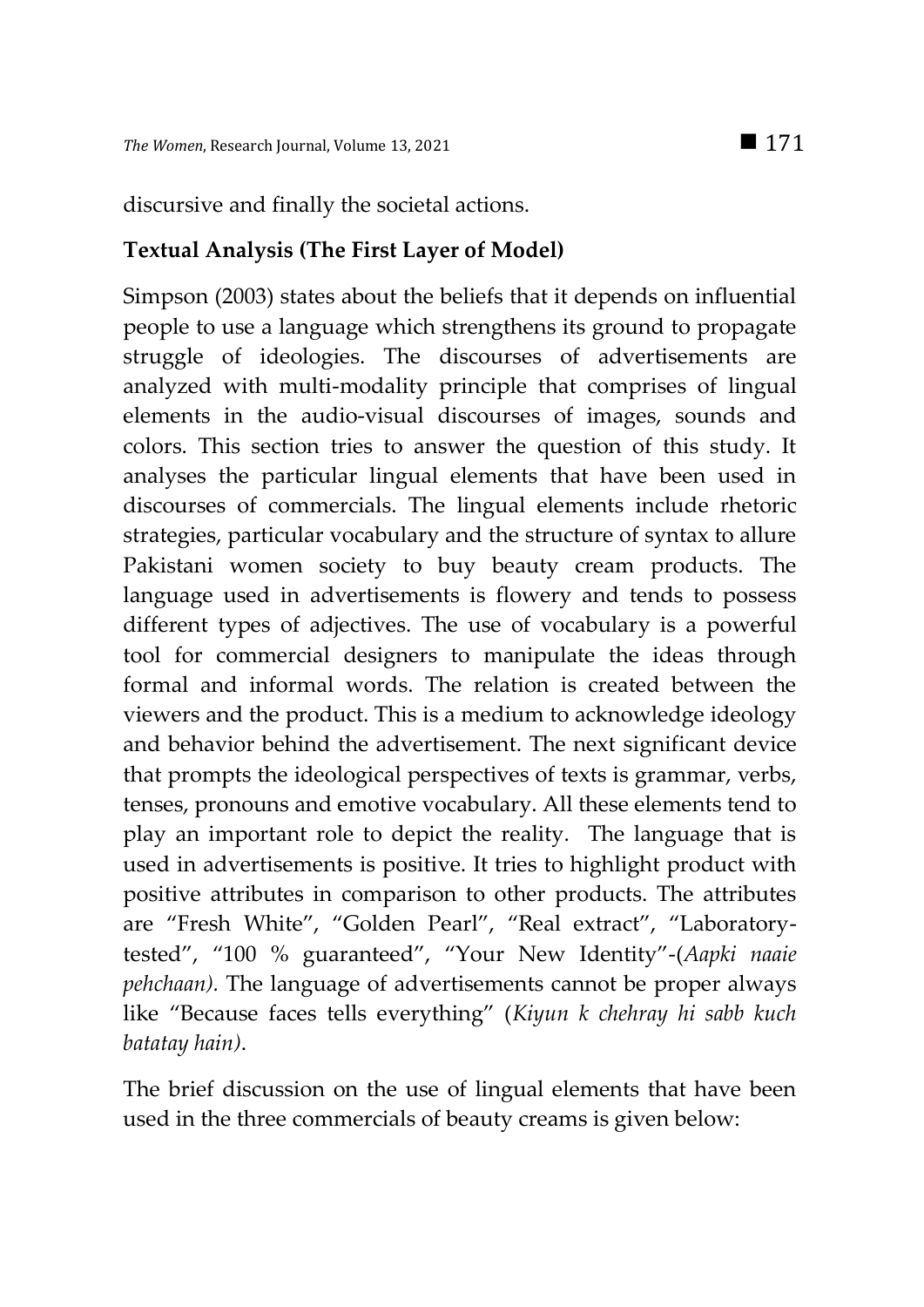discursive and finally the societal actions.

#### **Textual Analysis (The First Layer of Model)**

Simpson (2003) states about the beliefs that it depends on influential people to use a language which strengthens its ground to propagate struggle of ideologies. The discourses of advertisements are analyzed with multi-modality principle that comprises of lingual elements in the audio-visual discourses of images, sounds and colors. This section tries to answer the question of this study. It analyses the particular lingual elements that have been used in discourses of commercials. The lingual elements include rhetoric strategies, particular vocabulary and the structure of syntax to allure Pakistani women society to buy beauty cream products. The language used in advertisements is flowery and tends to possess different types of adjectives. The use of vocabulary is a powerful tool for commercial designers to manipulate the ideas through formal and informal words. The relation is created between the viewers and the product. This is a medium to acknowledge ideology and behavior behind the advertisement. The next significant device that prompts the ideological perspectives of texts is grammar, verbs, tenses, pronouns and emotive vocabulary. All these elements tend to play an important role to depict the reality. The language that is used in advertisements is positive. It tries to highlight product with positive attributes in comparison to other products. The attributes are "Fresh White", "Golden Pearl", "Real extract", "Laboratorytested", "100 % guaranteed", "Your New Identity"-(*Aapki naaie pehchaan).* The language of advertisements cannot be proper always like "Because faces tells everything" (*Kiyun k chehray hi sabb kuch batatay hain)*.

The brief discussion on the use of lingual elements that have been used in the three commercials of beauty creams is given below: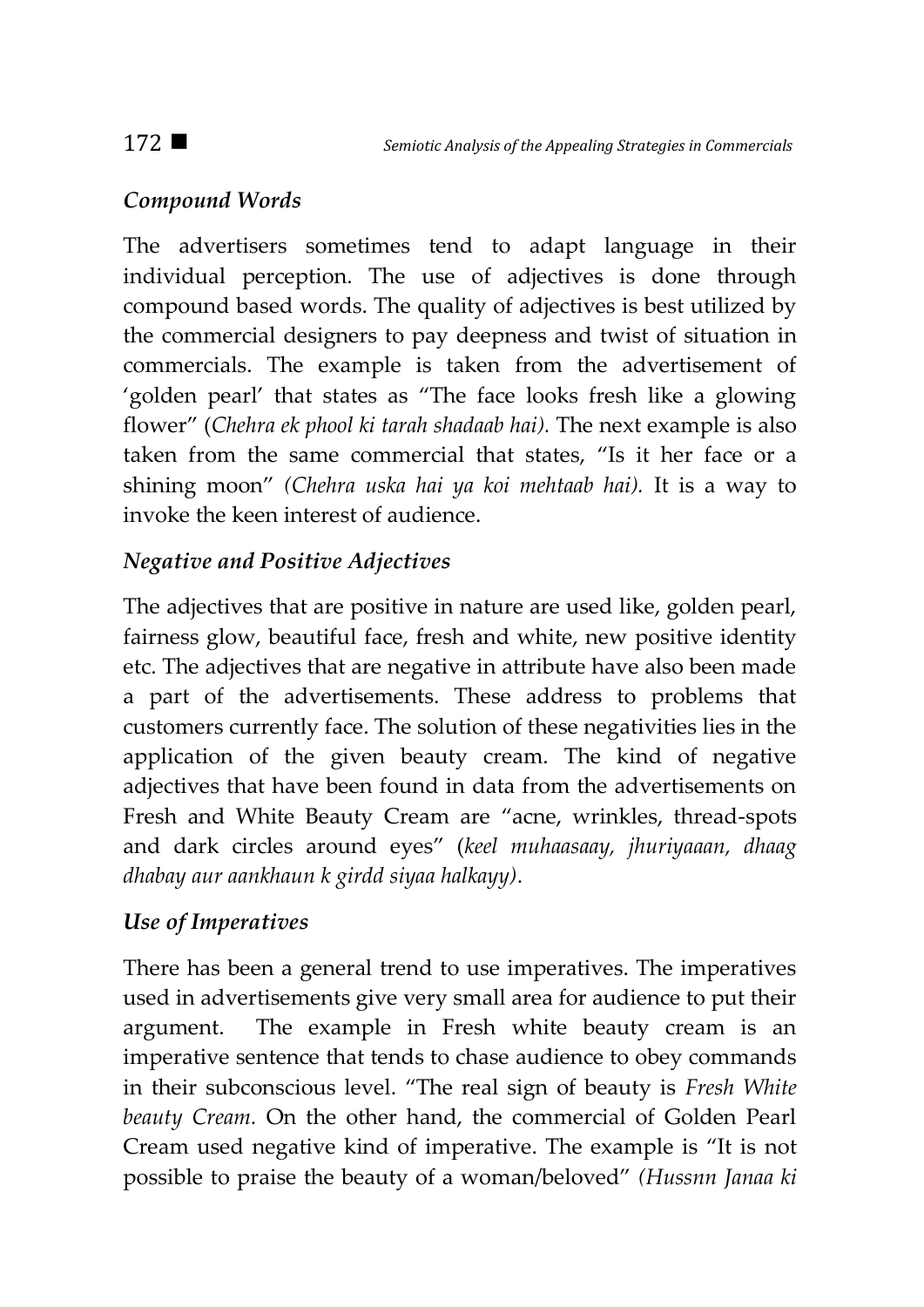## *Compound Words*

The advertisers sometimes tend to adapt language in their individual perception. The use of adjectives is done through compound based words. The quality of adjectives is best utilized by the commercial designers to pay deepness and twist of situation in commercials. The example is taken from the advertisement of 'golden pearl' that states as "The face looks fresh like a glowing flower" (*Chehra ek phool ki tarah shadaab hai).* The next example is also taken from the same commercial that states, "Is it her face or a shining moon" *(Chehra uska hai ya koi mehtaab hai).* It is a way to invoke the keen interest of audience.

# *Negative and Positive Adjectives*

The adjectives that are positive in nature are used like, golden pearl, fairness glow, beautiful face, fresh and white, new positive identity etc. The adjectives that are negative in attribute have also been made a part of the advertisements. These address to problems that customers currently face. The solution of these negativities lies in the application of the given beauty cream. The kind of negative adjectives that have been found in data from the advertisements on Fresh and White Beauty Cream are "acne, wrinkles, thread-spots and dark circles around eyes" (*keel muhaasaay, jhuriyaaan, dhaag dhabay aur aankhaun k girdd siyaa halkayy)*.

## *Use of Imperatives*

There has been a general trend to use imperatives. The imperatives used in advertisements give very small area for audience to put their argument. The example in Fresh white beauty cream is an imperative sentence that tends to chase audience to obey commands in their subconscious level. "The real sign of beauty is *Fresh White beauty Cream.* On the other hand, the commercial of Golden Pearl Cream used negative kind of imperative. The example is "It is not possible to praise the beauty of a woman/beloved" *(Hussnn Janaa ki*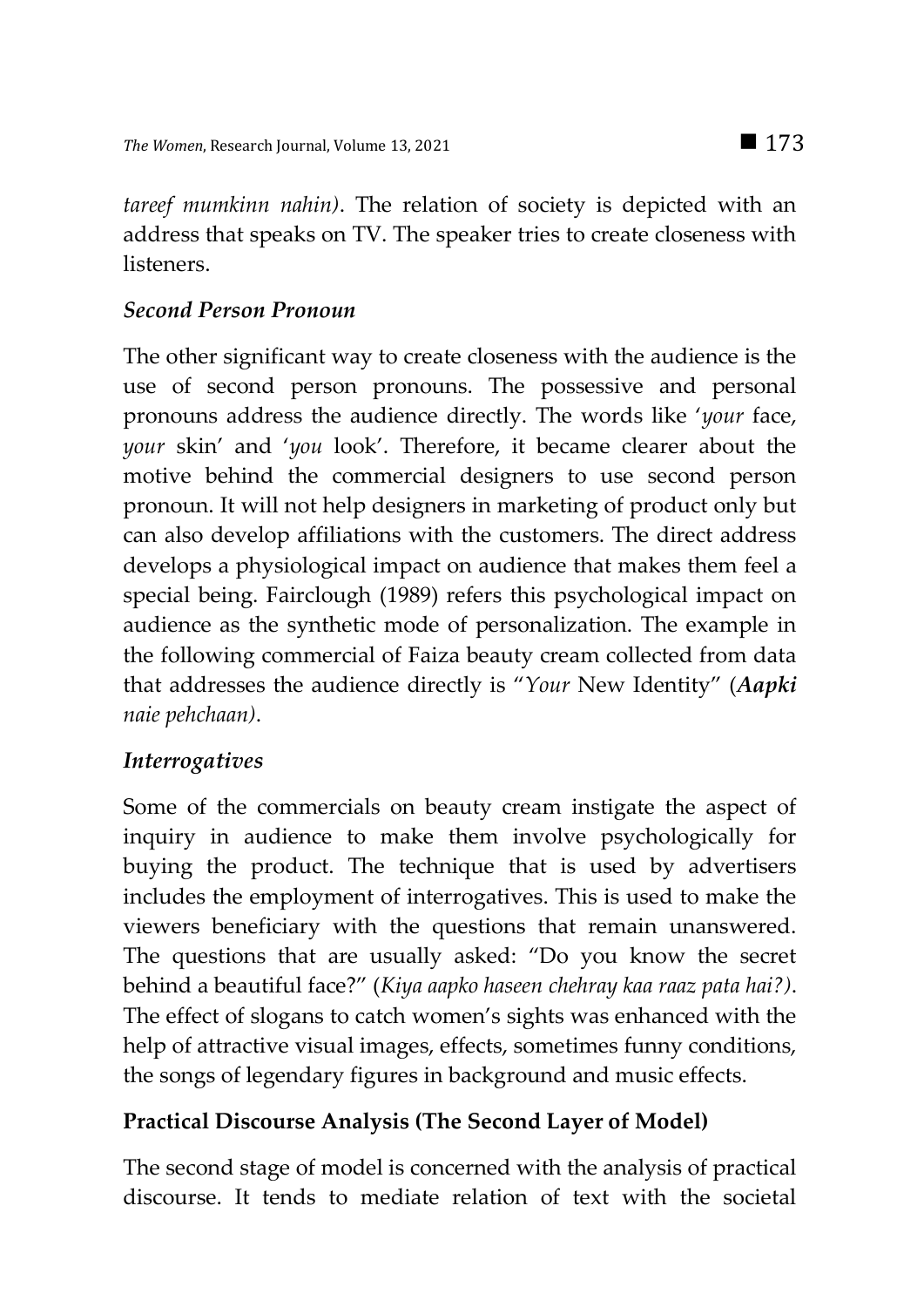*tareef mumkinn nahin)*. The relation of society is depicted with an address that speaks on TV. The speaker tries to create closeness with listeners.

#### *Second Person Pronoun*

The other significant way to create closeness with the audience is the use of second person pronouns. The possessive and personal pronouns address the audience directly. The words like '*your* face, *your* skin' and '*you* look'. Therefore, it became clearer about the motive behind the commercial designers to use second person pronoun. It will not help designers in marketing of product only but can also develop affiliations with the customers. The direct address develops a physiological impact on audience that makes them feel a special being. Fairclough (1989) refers this psychological impact on audience as the synthetic mode of personalization. The example in the following commercial of Faiza beauty cream collected from data that addresses the audience directly is "*Your* New Identity" (*Aapki naie pehchaan)*.

## *Interrogatives*

Some of the commercials on beauty cream instigate the aspect of inquiry in audience to make them involve psychologically for buying the product. The technique that is used by advertisers includes the employment of interrogatives. This is used to make the viewers beneficiary with the questions that remain unanswered. The questions that are usually asked: "Do you know the secret behind a beautiful face?" (*Kiya aapko haseen chehray kaa raaz pata hai?)*. The effect of slogans to catch women's sights was enhanced with the help of attractive visual images, effects, sometimes funny conditions, the songs of legendary figures in background and music effects.

## **Practical Discourse Analysis (The Second Layer of Model)**

The second stage of model is concerned with the analysis of practical discourse. It tends to mediate relation of text with the societal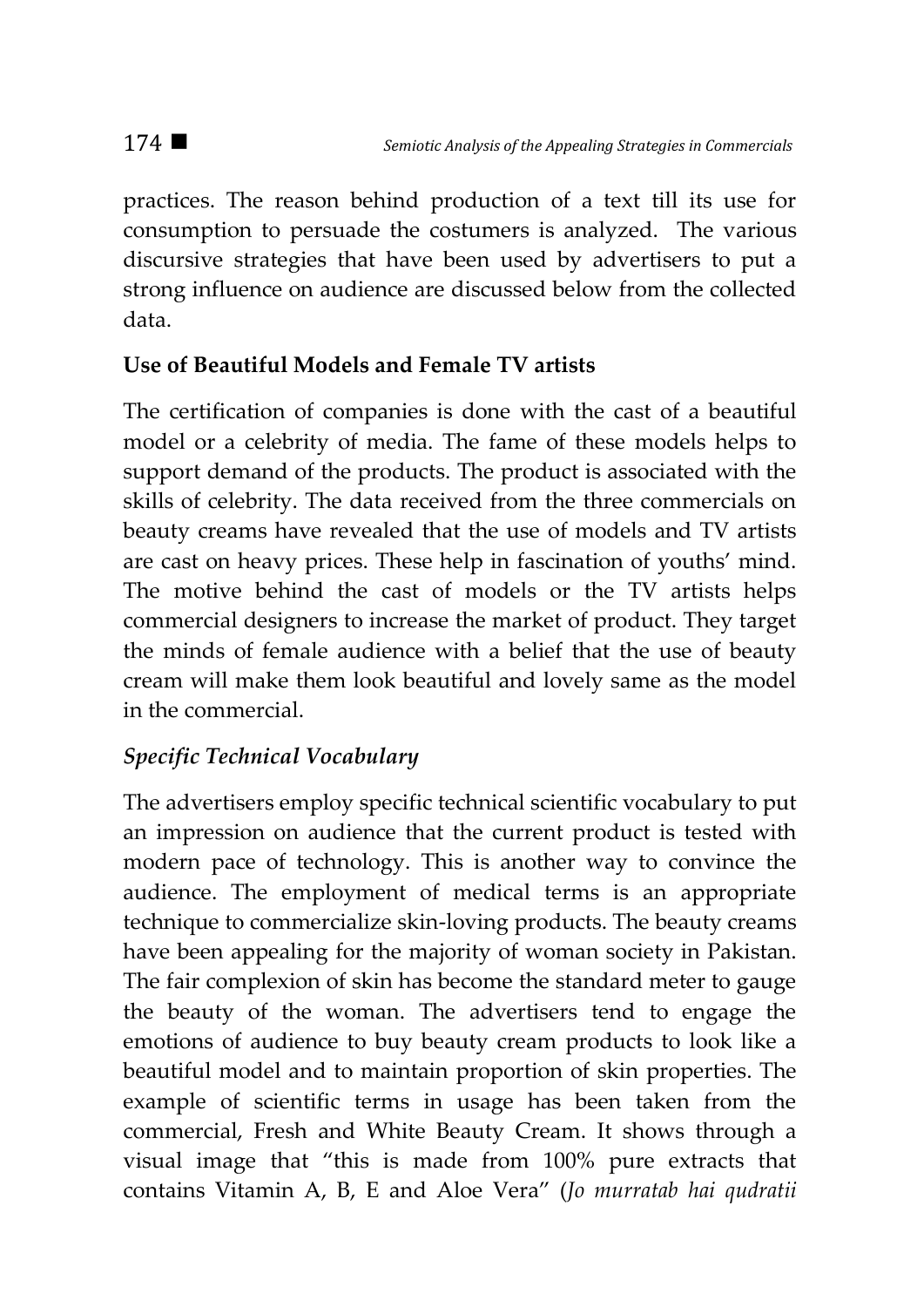practices. The reason behind production of a text till its use for consumption to persuade the costumers is analyzed. The various discursive strategies that have been used by advertisers to put a strong influence on audience are discussed below from the collected data.

#### **Use of Beautiful Models and Female TV artists**

The certification of companies is done with the cast of a beautiful model or a celebrity of media. The fame of these models helps to support demand of the products. The product is associated with the skills of celebrity. The data received from the three commercials on beauty creams have revealed that the use of models and TV artists are cast on heavy prices. These help in fascination of youths' mind. The motive behind the cast of models or the TV artists helps commercial designers to increase the market of product. They target the minds of female audience with a belief that the use of beauty cream will make them look beautiful and lovely same as the model in the commercial.

## *Specific Technical Vocabulary*

The advertisers employ specific technical scientific vocabulary to put an impression on audience that the current product is tested with modern pace of technology. This is another way to convince the audience. The employment of medical terms is an appropriate technique to commercialize skin-loving products. The beauty creams have been appealing for the majority of woman society in Pakistan. The fair complexion of skin has become the standard meter to gauge the beauty of the woman. The advertisers tend to engage the emotions of audience to buy beauty cream products to look like a beautiful model and to maintain proportion of skin properties. The example of scientific terms in usage has been taken from the commercial, Fresh and White Beauty Cream. It shows through a visual image that "this is made from 100% pure extracts that contains Vitamin A, B, E and Aloe Vera" (*Jo murratab hai qudratii*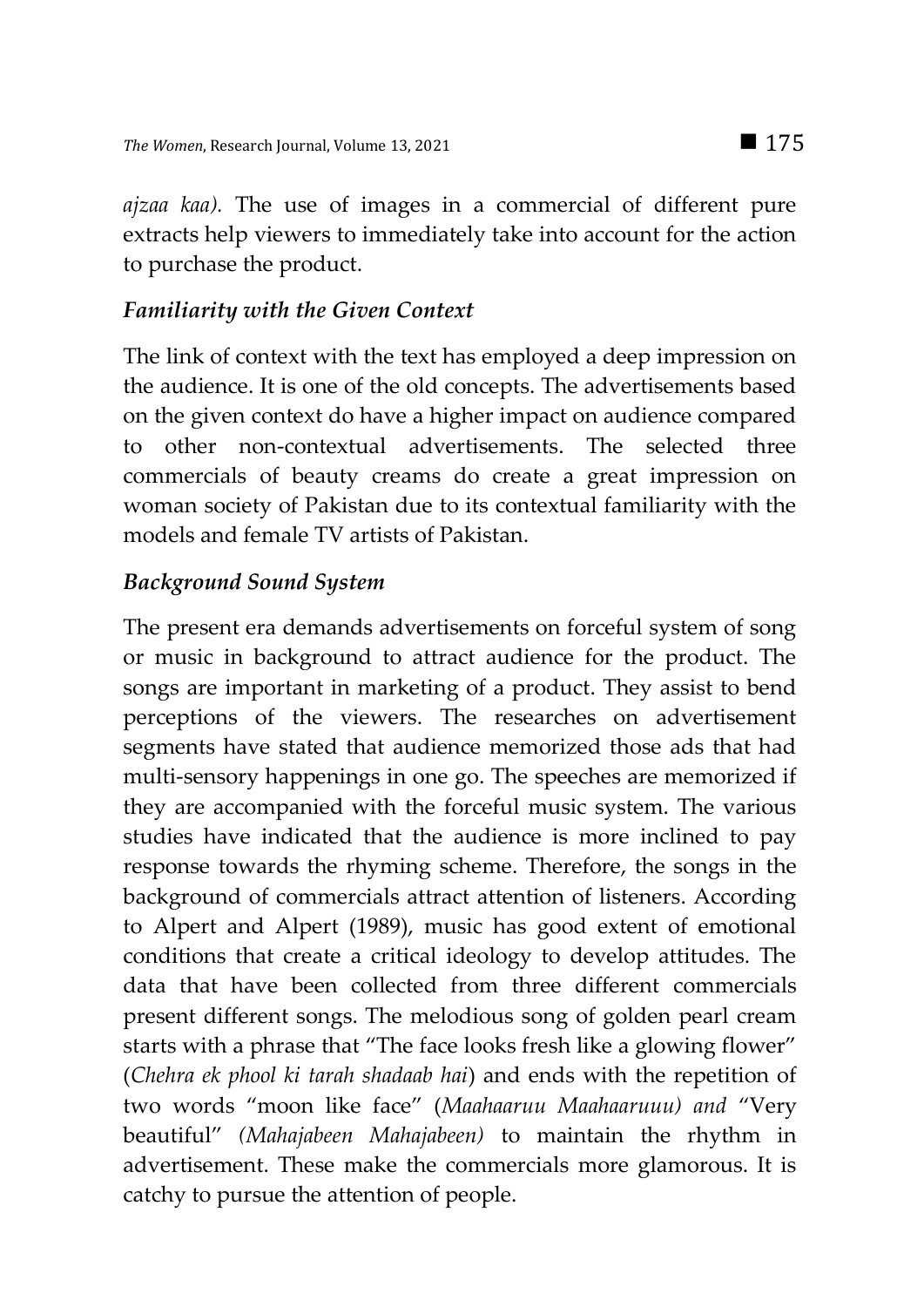*ajzaa kaa).* The use of images in a commercial of different pure extracts help viewers to immediately take into account for the action to purchase the product.

#### *Familiarity with the Given Context*

The link of context with the text has employed a deep impression on the audience. It is one of the old concepts. The advertisements based on the given context do have a higher impact on audience compared to other non-contextual advertisements. The selected three commercials of beauty creams do create a great impression on woman society of Pakistan due to its contextual familiarity with the models and female TV artists of Pakistan.

#### *Background Sound System*

The present era demands advertisements on forceful system of song or music in background to attract audience for the product. The songs are important in marketing of a product. They assist to bend perceptions of the viewers. The researches on advertisement segments have stated that audience memorized those ads that had multi-sensory happenings in one go. The speeches are memorized if they are accompanied with the forceful music system. The various studies have indicated that the audience is more inclined to pay response towards the rhyming scheme. Therefore, the songs in the background of commercials attract attention of listeners. According to Alpert and Alpert (1989), music has good extent of emotional conditions that create a critical ideology to develop attitudes. The data that have been collected from three different commercials present different songs. The melodious song of golden pearl cream starts with a phrase that "The face looks fresh like a glowing flower" (*Chehra ek phool ki tarah shadaab hai*) and ends with the repetition of two words "moon like face" (*Maahaaruu Maahaaruuu) and* "Very beautiful" *(Mahajabeen Mahajabeen)* to maintain the rhythm in advertisement. These make the commercials more glamorous. It is catchy to pursue the attention of people.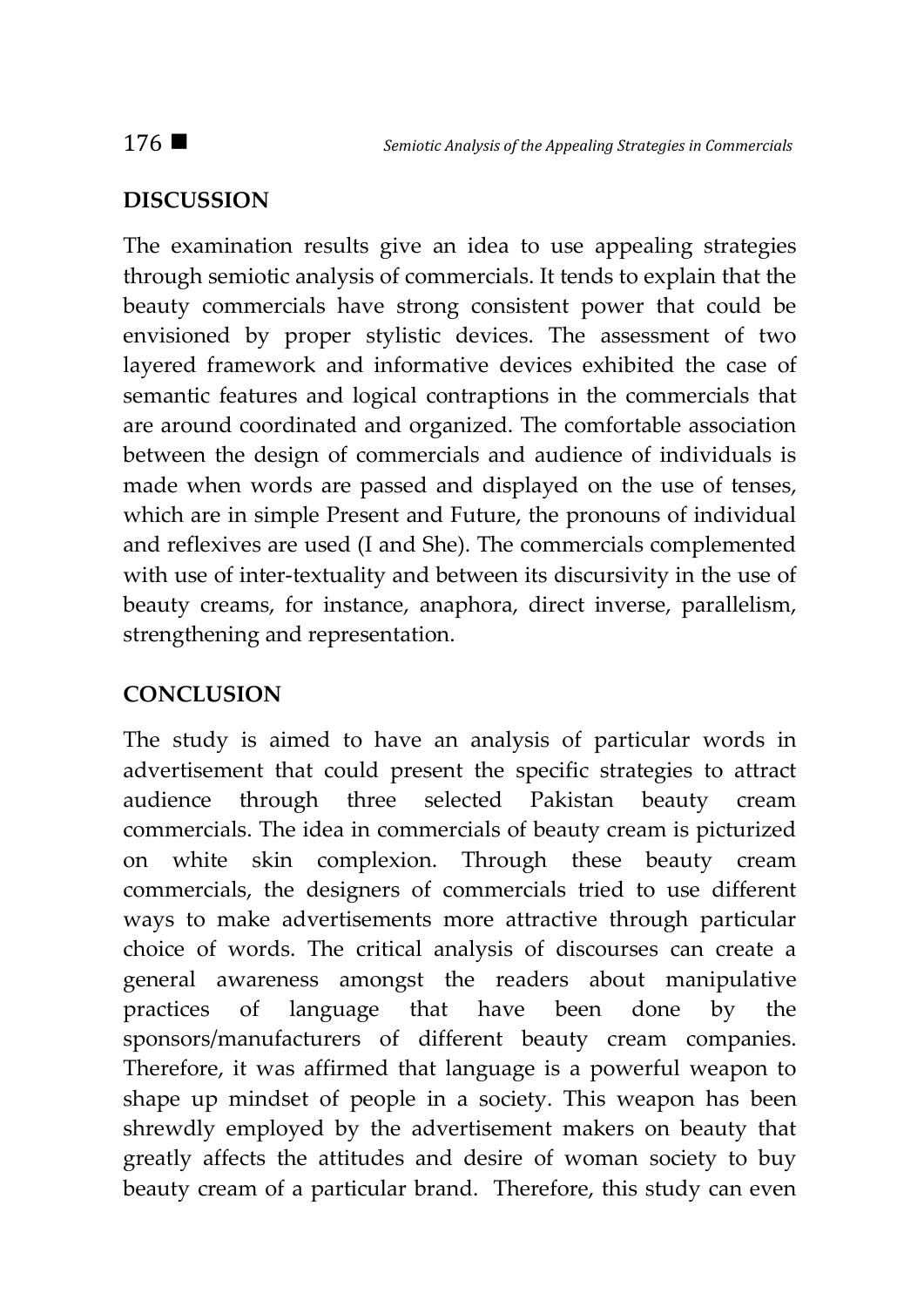## **DISCUSSION**

The examination results give an idea to use appealing strategies through semiotic analysis of commercials. It tends to explain that the beauty commercials have strong consistent power that could be envisioned by proper stylistic devices. The assessment of two layered framework and informative devices exhibited the case of semantic features and logical contraptions in the commercials that are around coordinated and organized. The comfortable association between the design of commercials and audience of individuals is made when words are passed and displayed on the use of tenses, which are in simple Present and Future, the pronouns of individual and reflexives are used (I and She). The commercials complemented with use of inter-textuality and between its discursivity in the use of beauty creams, for instance, anaphora, direct inverse, parallelism, strengthening and representation.

## **CONCLUSION**

The study is aimed to have an analysis of particular words in advertisement that could present the specific strategies to attract audience through three selected Pakistan beauty cream commercials. The idea in commercials of beauty cream is picturized on white skin complexion. Through these beauty cream commercials, the designers of commercials tried to use different ways to make advertisements more attractive through particular choice of words. The critical analysis of discourses can create a general awareness amongst the readers about manipulative practices of language that have been done by the sponsors/manufacturers of different beauty cream companies. Therefore, it was affirmed that language is a powerful weapon to shape up mindset of people in a society. This weapon has been shrewdly employed by the advertisement makers on beauty that greatly affects the attitudes and desire of woman society to buy beauty cream of a particular brand. Therefore, this study can even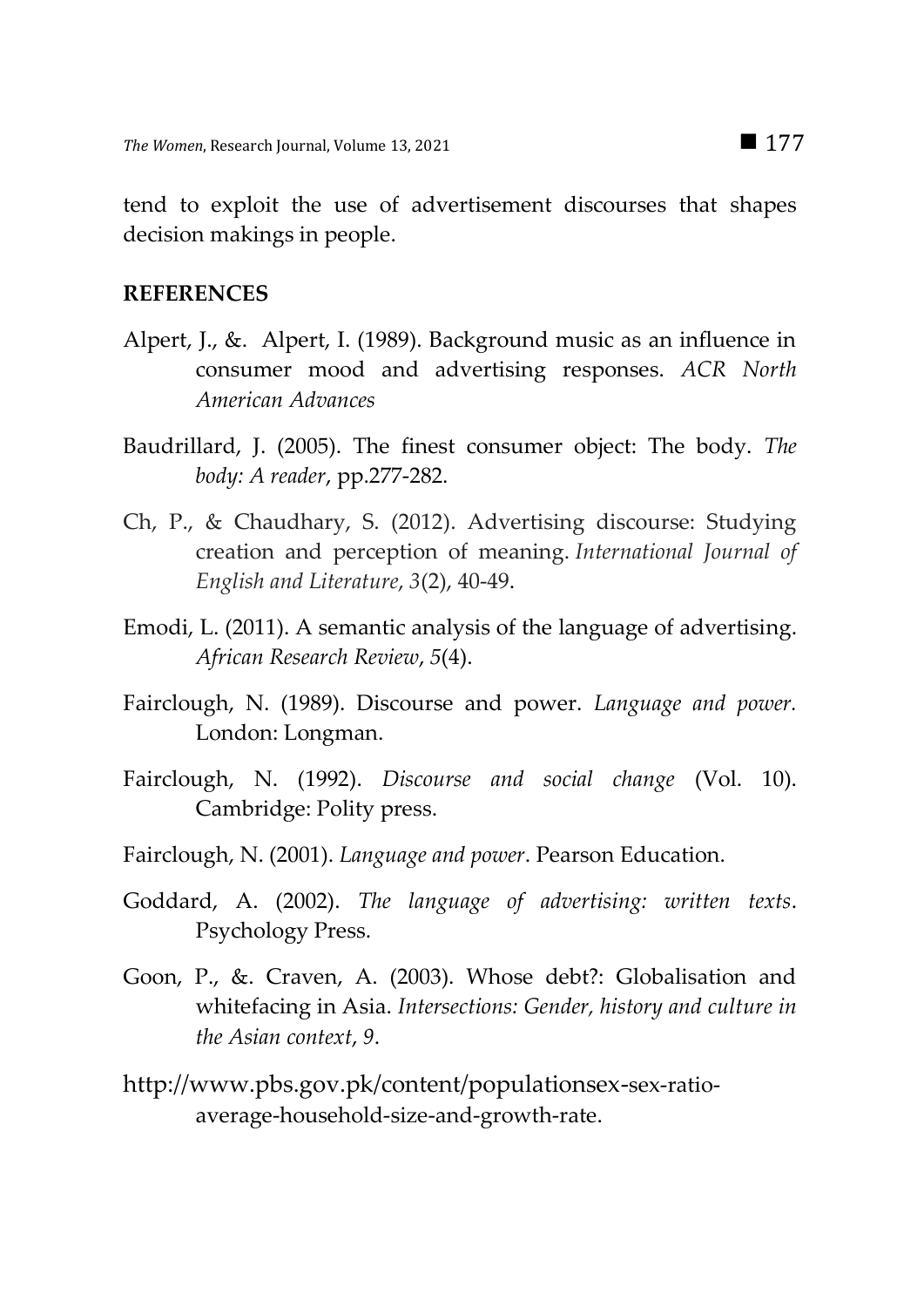tend to exploit the use of advertisement discourses that shapes decision makings in people.

#### **REFERENCES**

- Alpert, J., &. Alpert, I. (1989). Background music as an influence in consumer mood and advertising responses. *ACR North American Advances*
- Baudrillard, J. (2005). The finest consumer object: The body. *The body: A reader*, pp.277-282.
- Ch, P., & Chaudhary, S. (2012). Advertising discourse: Studying creation and perception of meaning. *International Journal of English and Literature*, *3*(2), 40-49.
- Emodi, L. (2011). A semantic analysis of the language of advertising. *African Research Review*, *5*(4).
- Fairclough, N. (1989). Discourse and power. *Language and power.*  London: Longman.
- Fairclough, N. (1992). *Discourse and social change* (Vol. 10). Cambridge: Polity press.
- Fairclough, N. (2001). *Language and power*. Pearson Education.
- Goddard, A. (2002). *The language of advertising: written texts*. Psychology Press.
- Goon, P., &. Craven, A. (2003). Whose debt?: Globalisation and whitefacing in Asia. *Intersections: Gender, history and culture in the Asian context*, *9*.
- http://www.pbs.gov.pk/content/populationsex-sex-ratioaverage-household-size-and-growth-rate.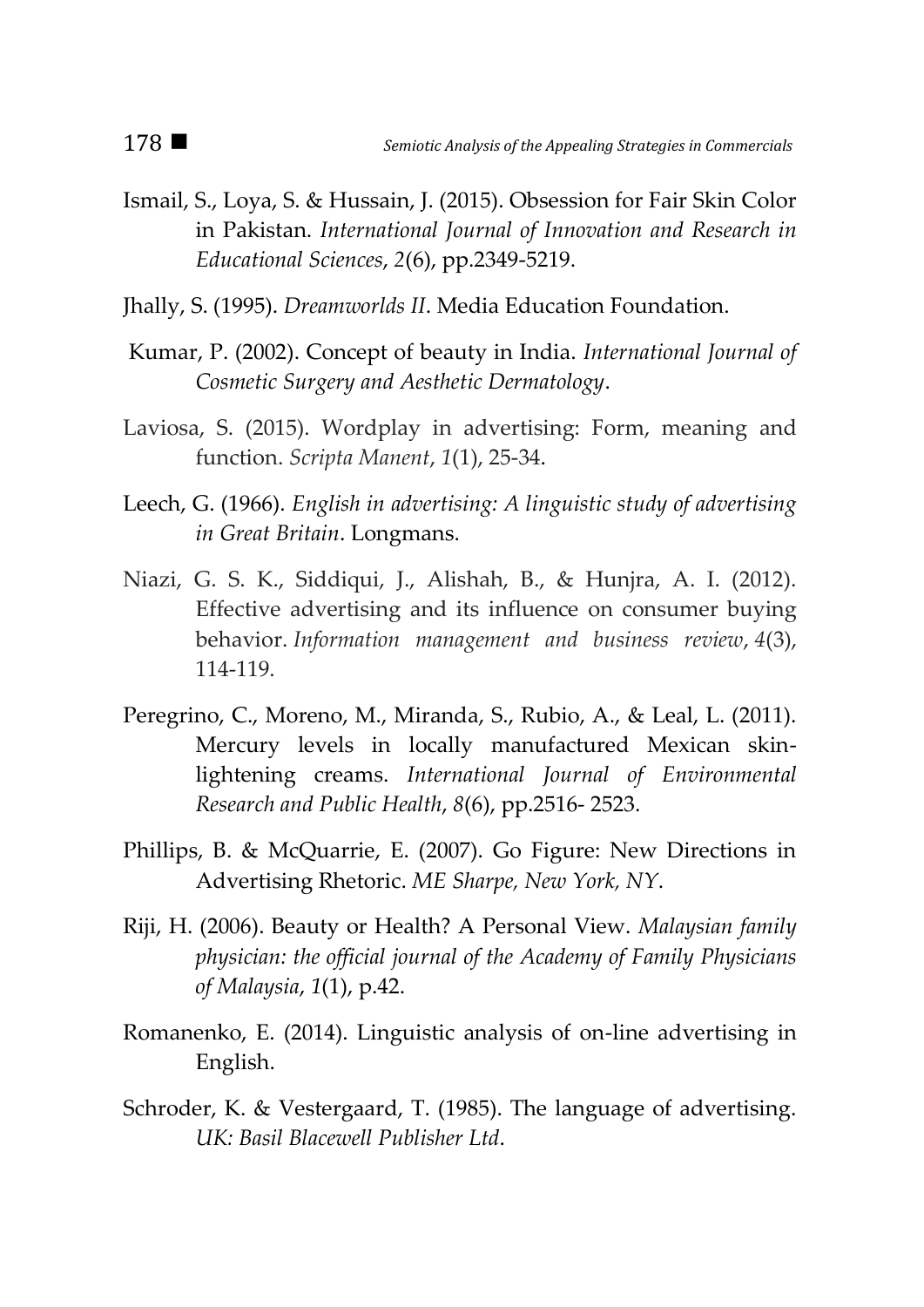- Ismail, S., Loya, S. & Hussain, J. (2015). Obsession for Fair Skin Color in Pakistan. *International Journal of Innovation and Research in Educational Sciences*, *2*(6), pp.2349-5219.
- Jhally, S. (1995). *Dreamworlds II*. Media Education Foundation.
- Kumar, P. (2002). Concept of beauty in India. *International Journal of Cosmetic Surgery and Aesthetic Dermatology*.
- Laviosa, S. (2015). Wordplay in advertising: Form, meaning and function. *Scripta Manent*, *1*(1), 25-34.
- Leech, G. (1966). *English in advertising: A linguistic study of advertising in Great Britain*. Longmans.
- Niazi, G. S. K., Siddiqui, J., Alishah, B., & Hunjra, A. I. (2012). Effective advertising and its influence on consumer buying behavior. *Information management and business review*, *4*(3), 114-119.
- Peregrino, C., Moreno, M., Miranda, S., Rubio, A., & Leal, L. (2011). Mercury levels in locally manufactured Mexican skinlightening creams. *International Journal of Environmental Research and Public Health*, *8*(6), pp.2516- 2523.
- Phillips, B. & McQuarrie, E. (2007). Go Figure: New Directions in Advertising Rhetoric. *ME Sharpe, New York, NY*.
- Riji, H. (2006). Beauty or Health? A Personal View. *Malaysian family physician: the official journal of the Academy of Family Physicians of Malaysia*, *1*(1), p.42.
- Romanenko, E. (2014). Linguistic analysis of on-line advertising in English.
- Schroder, K. & Vestergaard, T. (1985). The language of advertising. *UK: Basil Blacewell Publisher Ltd*.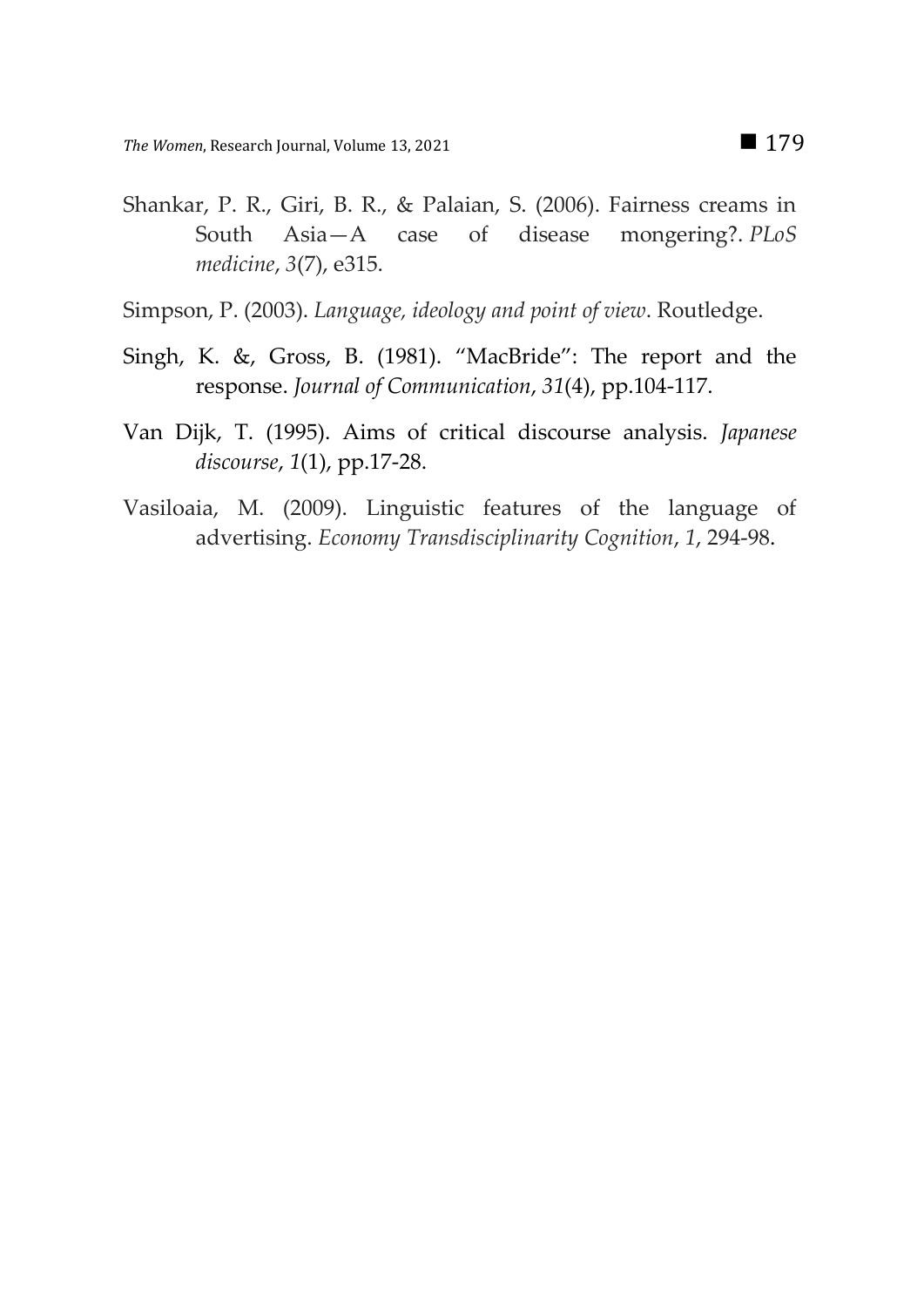Shankar, P. R., Giri, B. R., & Palaian, S. (2006). Fairness creams in South Asia $-A$  case of disease mongering? *PLoS* of disease mongering?. *PLoS medicine*, *3*(7), e315.

Simpson, P. (2003). *Language, ideology and point of view*. Routledge.

- Singh, K. &, Gross, B. (1981). "MacBride": The report and the response. *Journal of Communication*, *31*(4), pp.104-117.
- Van Dijk, T. (1995). Aims of critical discourse analysis. *Japanese discourse*, *1*(1), pp.17-28.
- Vasiloaia, M. (2009). Linguistic features of the language of advertising. *Economy Transdisciplinarity Cognition*, *1*, 294-98.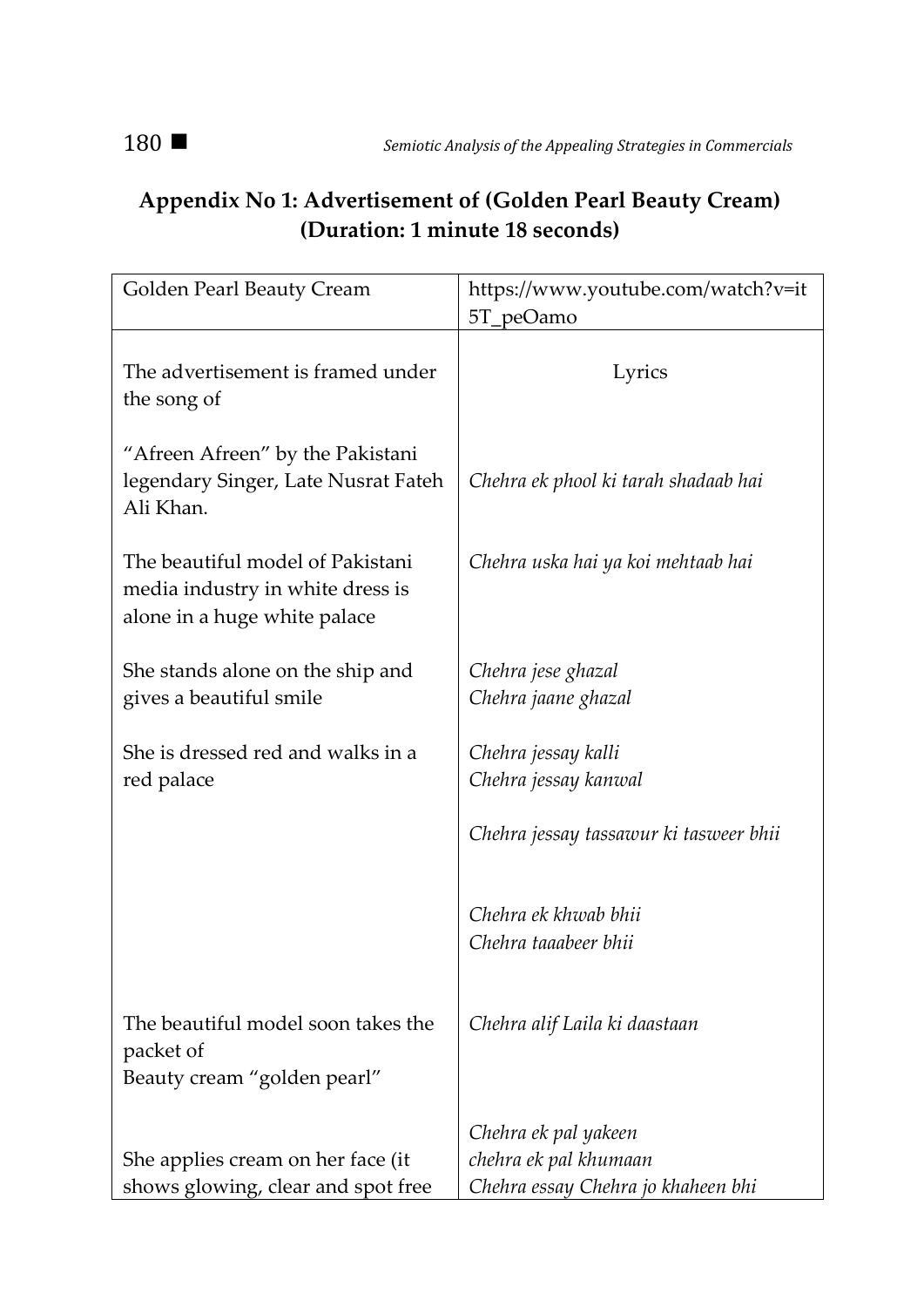## 180  $\blacksquare$  *Semiotic Analysis of the Appealing Strategies in Commercials*

# **Appendix No 1: Advertisement of (Golden Pearl Beauty Cream) (Duration: 1 minute 18 seconds)**

| Golden Pearl Beauty Cream                                                                            | https://www.youtube.com/watch?v=it           |
|------------------------------------------------------------------------------------------------------|----------------------------------------------|
|                                                                                                      | 5T_peOamo                                    |
| The advertisement is framed under<br>the song of                                                     | Lyrics                                       |
| "Afreen Afreen" by the Pakistani<br>legendary Singer, Late Nusrat Fateh<br>Ali Khan.                 | Chehra ek phool ki tarah shadaab hai         |
| The beautiful model of Pakistani<br>media industry in white dress is<br>alone in a huge white palace | Chehra uska hai ya koi mehtaab hai           |
| She stands alone on the ship and<br>gives a beautiful smile                                          | Chehra jese ghazal<br>Chehra jaane ghazal    |
| She is dressed red and walks in a<br>red palace                                                      | Chehra jessay kalli<br>Chehra jessay kanwal  |
|                                                                                                      | Chehra jessay tassawur ki tasweer bhii       |
|                                                                                                      | Chehra ek khwab bhii<br>Chehra taaabeer bhii |
| The beautiful model soon takes the<br>packet of<br>Beauty cream "golden pearl"                       | Chehra alif Laila ki daastaan                |
|                                                                                                      | Chehra ek pal yakeen                         |
| She applies cream on her face (it                                                                    | chehra ek pal khumaan                        |
| shows glowing, clear and spot free                                                                   | Chehra essay Chehra jo khaheen bhi           |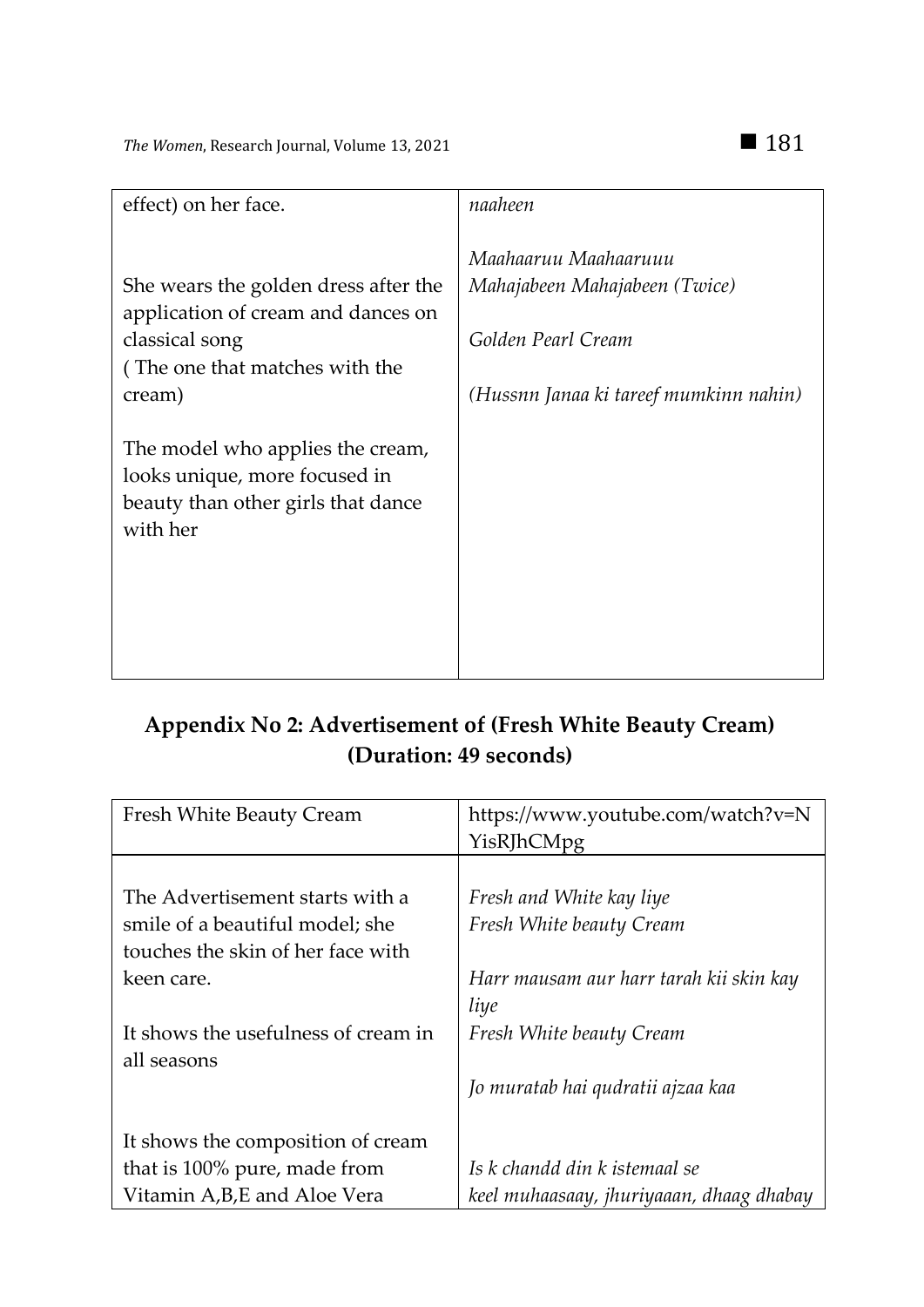*The Women*, Research Journal, Volume 13, 2021  $\Box$  181

| effect) on her face.                 | naaheen                                |
|--------------------------------------|----------------------------------------|
|                                      |                                        |
|                                      | Maahaaruu Maahaaruuu                   |
|                                      |                                        |
| She wears the golden dress after the | Mahajabeen Mahajabeen (Twice)          |
| application of cream and dances on   |                                        |
| classical song                       | Golden Pearl Cream                     |
| (The one that matches with the       |                                        |
|                                      |                                        |
| cream)                               | (Hussnn Janaa ki tareef mumkinn nahin) |
|                                      |                                        |
| The model who applies the cream,     |                                        |
| looks unique, more focused in        |                                        |
| beauty than other girls that dance   |                                        |
|                                      |                                        |
| with her                             |                                        |
|                                      |                                        |
|                                      |                                        |
|                                      |                                        |
|                                      |                                        |
|                                      |                                        |
|                                      |                                        |

## **Appendix No 2: Advertisement of (Fresh White Beauty Cream) (Duration: 49 seconds)**

| Fresh White Beauty Cream            | https://www.youtube.com/watch?v=N        |
|-------------------------------------|------------------------------------------|
|                                     | YisRJhCMpg                               |
|                                     |                                          |
| The Advertisement starts with a     | Fresh and White kay liye                 |
| smile of a beautiful model; she     | Fresh White beauty Cream                 |
| touches the skin of her face with   |                                          |
| keen care.                          | Harr mausam aur harr tarah kii skin kay  |
|                                     | liye                                     |
| It shows the usefulness of cream in | Fresh White beauty Cream                 |
| all seasons                         |                                          |
|                                     | Jo muratab hai qudratii ajzaa kaa        |
|                                     |                                          |
| It shows the composition of cream   |                                          |
| that is 100% pure, made from        | Is k chandd din k istemaal se            |
| Vitamin A, B, E and Aloe Vera       | keel muhaasaay, jhuriyaaan, dhaag dhabay |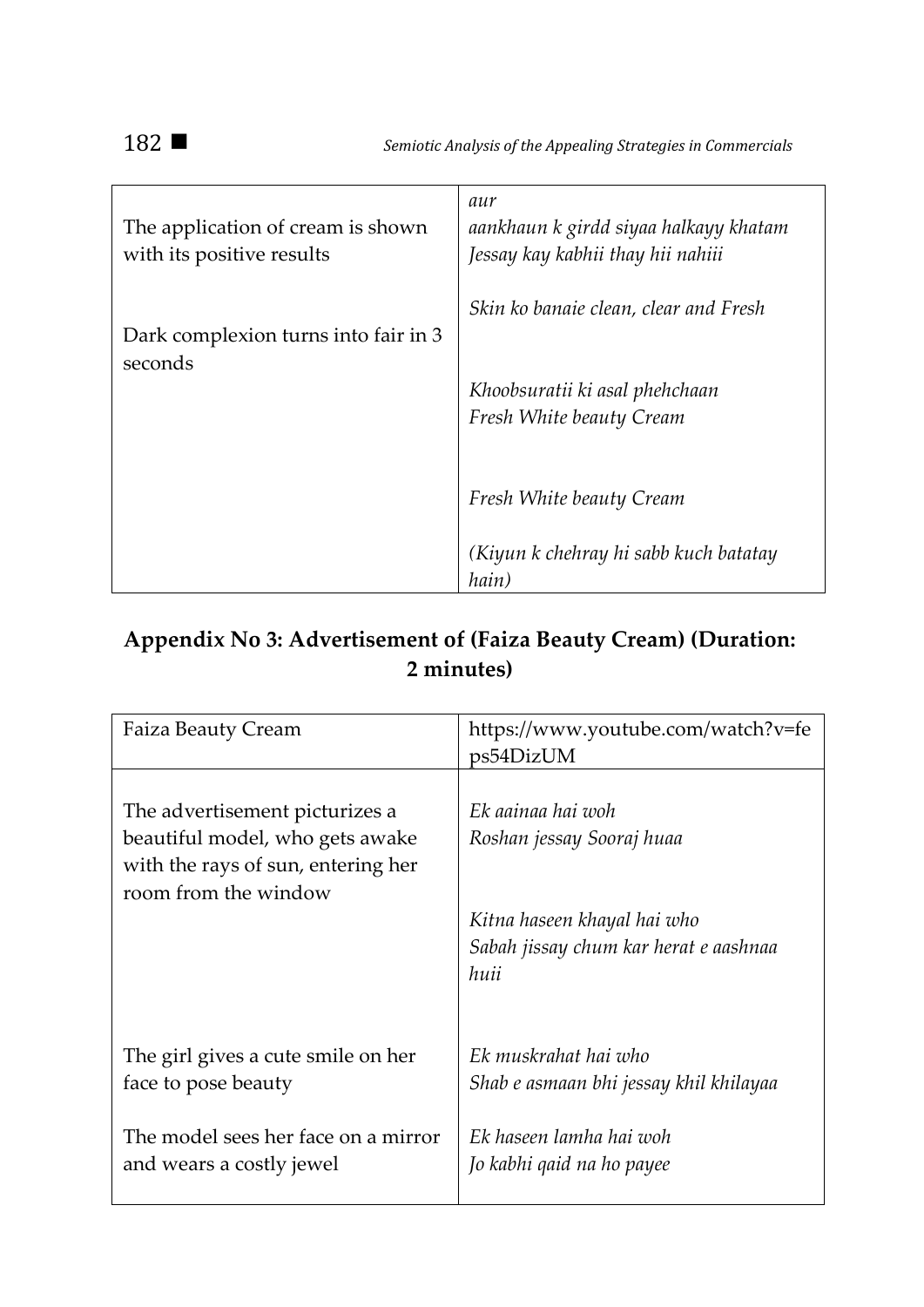182 *Semiotic Analysis of the Appealing Strategies in Commercials* 

| The application of cream is shown<br>with its positive results | aur<br>aankhaun k girdd siyaa halkayy khatam<br>Jessay kay kabhii thay hii nahiii |
|----------------------------------------------------------------|-----------------------------------------------------------------------------------|
| Dark complexion turns into fair in 3<br>seconds                | Skin ko banaie clean, clear and Fresh                                             |
|                                                                | Khoobsuratii ki asal phehchaan<br>Fresh White beauty Cream                        |
|                                                                | Fresh White beauty Cream                                                          |
|                                                                | (Kiyun k chehray hi sabb kuch batatay<br>hain)                                    |

## **Appendix No 3: Advertisement of (Faiza Beauty Cream) (Duration: 2 minutes)**

| Faiza Beauty Cream                                                                                                              | https://www.youtube.com/watch?v=fe<br>ps54DizUM                                                                                |
|---------------------------------------------------------------------------------------------------------------------------------|--------------------------------------------------------------------------------------------------------------------------------|
| The advertisement picturizes a<br>beautiful model, who gets awake<br>with the rays of sun, entering her<br>room from the window | Ek aainaa hai woh<br>Roshan jessay Sooraj huaa<br>Kitna haseen khayal hai who<br>Sabah jissay chum kar herat e aashnaa<br>huii |
| The girl gives a cute smile on her                                                                                              | Ek muskrahat hai who                                                                                                           |
| face to pose beauty                                                                                                             | Shab e asmaan bhi jessay khil khilayaa                                                                                         |
| The model sees her face on a mirror                                                                                             | Ek haseen lamha hai woh                                                                                                        |
| and wears a costly jewel                                                                                                        | Jo kabhi qaid na ho payee                                                                                                      |